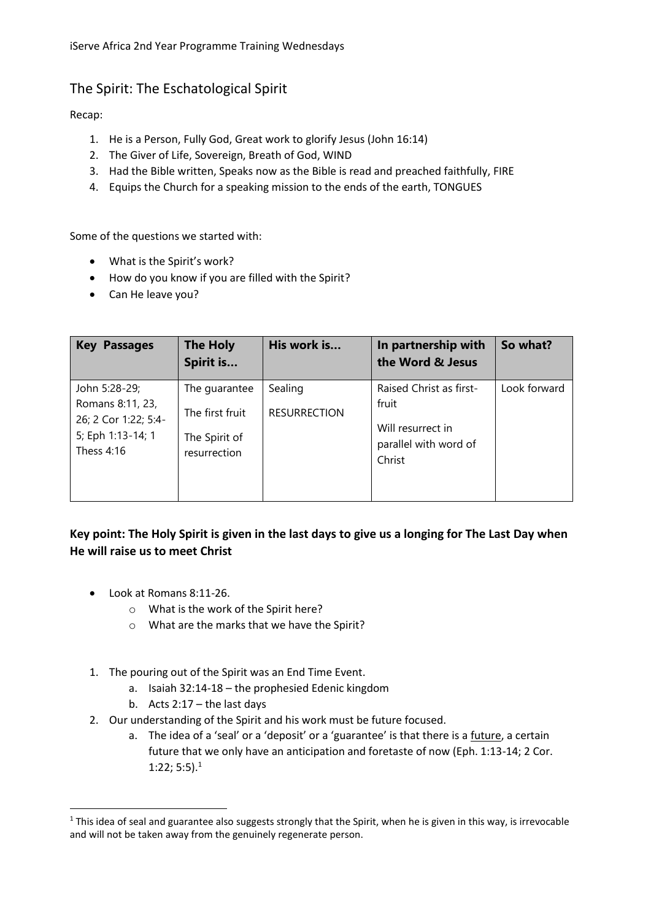## The Spirit: The Eschatological Spirit

Recap:

- 1. He is a Person, Fully God, Great work to glorify Jesus (John 16:14)
- 2. The Giver of Life, Sovereign, Breath of God, WIND
- 3. Had the Bible written, Speaks now as the Bible is read and preached faithfully, FIRE
- 4. Equips the Church for a speaking mission to the ends of the earth, TONGUES

Some of the questions we started with:

- What is the Spirit's work?
- How do you know if you are filled with the Spirit?
- Can He leave you?

| <b>Key Passages</b>                                                                            | <b>The Holy</b><br>Spirit is                                      | His work is                    | In partnership with<br>the Word & Jesus                                                  | So what?     |
|------------------------------------------------------------------------------------------------|-------------------------------------------------------------------|--------------------------------|------------------------------------------------------------------------------------------|--------------|
| John 5:28-29;<br>Romans 8:11, 23,<br>26; 2 Cor 1:22; 5:4-<br>5; Eph 1:13-14; 1<br>Thess $4:16$ | The guarantee<br>The first fruit<br>The Spirit of<br>resurrection | Sealing<br><b>RESURRECTION</b> | Raised Christ as first-<br>fruit<br>Will resurrect in<br>parallel with word of<br>Christ | Look forward |

## **Key point: The Holy Spirit is given in the last days to give us a longing for The Last Day when He will raise us to meet Christ**

● Look at Romans 8:11-26.

 $\overline{\phantom{a}}$ 

- o What is the work of the Spirit here?
- o What are the marks that we have the Spirit?
- 1. The pouring out of the Spirit was an End Time Event.
	- a. Isaiah 32:14-18 the prophesied Edenic kingdom
	- b. Acts 2:17 the last days
- 2. Our understanding of the Spirit and his work must be future focused.
	- a. The idea of a 'seal' or a 'deposit' or a 'guarantee' is that there is a future, a certain future that we only have an anticipation and foretaste of now (Eph. 1:13-14; 2 Cor. 1:22; 5:5).<sup>1</sup>

<sup>&</sup>lt;sup>1</sup> This idea of seal and guarantee also suggests strongly that the Spirit, when he is given in this way, is irrevocable and will not be taken away from the genuinely regenerate person.